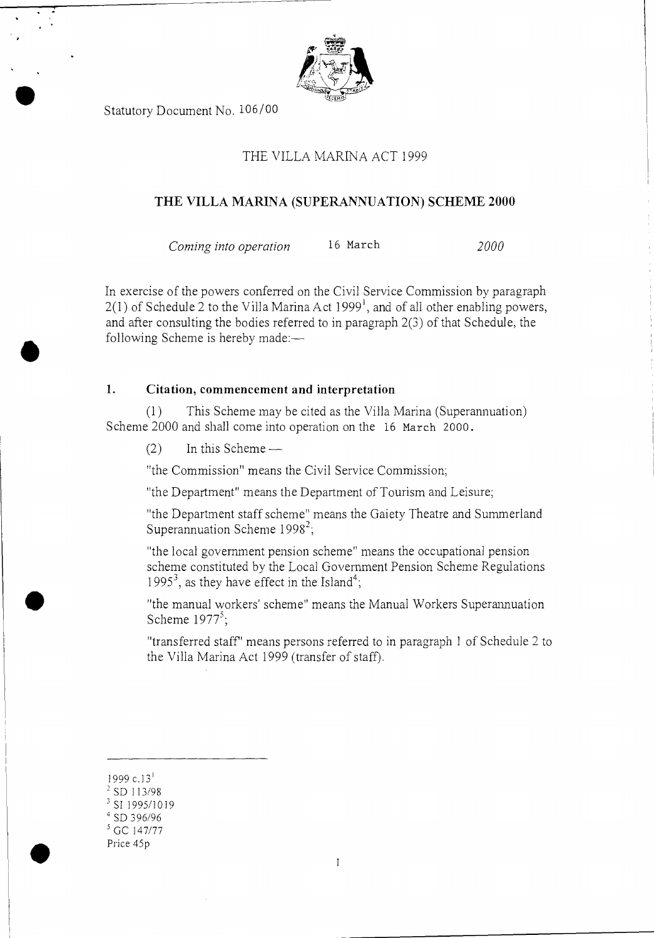

Statutory Document No. 106/00

## THE VILLA MARINA ACT 1999

#### THE VILLA MARINA (SUPERANNUATION) SCHEME 2000

*Corning into operation* 16 March *2000* 

In exercise of the powers conferred on the Civil Service Commission by paragraph  $2(1)$  of Schedule 2 to the Villa Marina Act 1999<sup>1</sup>, and of all other enabling powers, and after consulting the bodies referred to in paragraph 2(3) of that Schedule, the following Scheme is hereby made:—

### 1. Citation, commencement and interpretation

(1) This Scheme may be cited as the Villa Marina (Superannuation) Scheme 2000 and shall come into operation on the 16 March 2000.

 $(2)$  In this Scheme —

"the Commission" means the Civil Service Commission;

"the Department" means the Department of Tourism and Leisure;

"the Department staff scheme" means the Gaiety Theatre and Summerland Superannuation Scheme  $1998^2$ ;

"the local government pension scheme" means the occupational pension scheme constituted by the Local Government Pension Scheme Regulations 1995<sup>3</sup>, as they have effect in the Island<sup>4</sup>;

"the manual workers' scheme" means the Manual Workers Superannuation Scheme  $1977^5$ ;

"transferred staff' means persons referred to in paragraph 1 of Schedule 2 to the Villa Marina Act 1999 (transfer of staff).

 $\mathbf{1}$ 

1999 c.13'

•

- $3$  SD 113/98
- <sup>3</sup> SI 1995/1019
- <sup>4</sup>SD 396/96
- <sup>5</sup>GC 147/77 Price 45p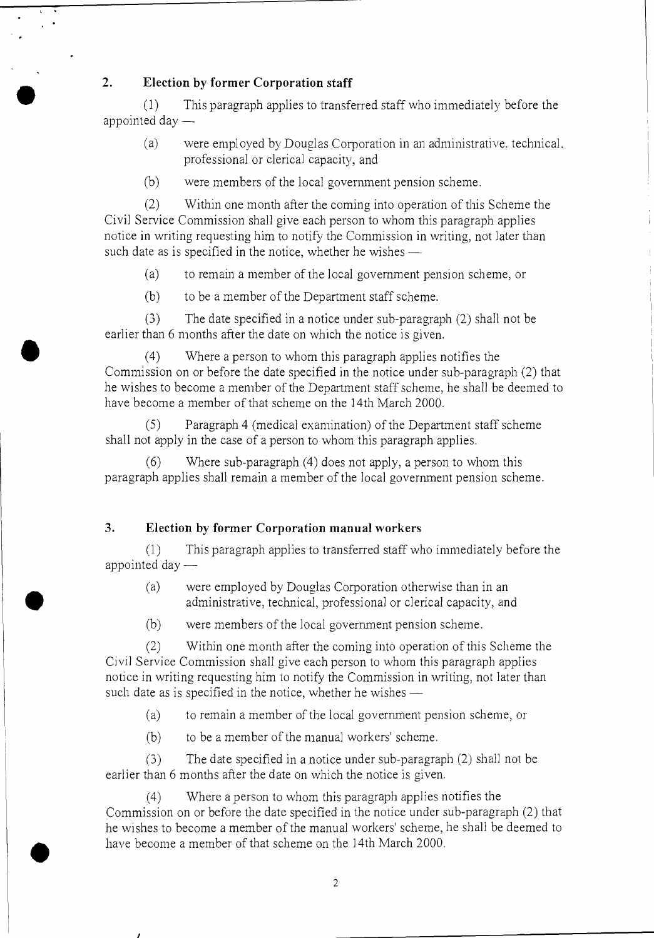## **2. Election by former Corporation staff**

(1) This paragraph applies to transferred staff who immediately before the appointed day —

- (a) were employed by Douglas Corporation in an administrative. technical, professional or clerical capacity, and
- (b) were members of the local government pension scheme.

(2) Within one month after the coming into operation of this Scheme the Civil Service Commission shall give each person to whom this paragraph applies notice in writing requesting him to notify the Commission in writing, not later than such date as is specified in the notice, whether he wishes —

(a) to remain a member of the local government pension scheme, or

(b) to be a member of the Department staff scheme.

(3 ) The date specified in a notice under sub-paragraph (2) shall not be earlier than 6 months after the date on which the notice is given.

(4) Where a person to whom this paragraph applies notifies the Commission on or before the date specified in the notice under sub-paragraph (2) that he wishes to become a member of the Department staff scheme, he shall be deemed to have become a member of that scheme on the 14th March 2000.

(5 ) Paragraph 4 (medical examination) of the Department staff scheme shall not apply in the case of a person to whom this paragraph applies.

(6) Where sub-paragraph (4) does not apply, a person to whom this paragraph applies shall remain a member of the local government pension scheme.

#### **3. Election by former Corporation manual workers**

**(1)** This paragraph applies to transferred staff who immediately before the appointed day —

- (a) were employed by Douglas Corporation otherwise than in an administrative, technical, professional or clerical capacity, and
- (b) were members of the local government pension scheme.

(2) Within one month after the coming into operation of this Scheme the Civil Service Commission shall give each person to whom this paragraph applies notice in writing requesting him to notify the Commission in writing, not later than such date as is specified in the notice, whether he wishes —

(a) to remain a member of the local government pension scheme, or

(b) to be a member of the manual workers' scheme.

•

 $(3)$  The date specified in a notice under sub-paragraph  $(2)$  shall not be earlier than 6 months after the date on which the notice is given.

(4) Where a person to whom this paragraph applies notifies the Commission on or before the date specified in the notice under sub-paragraph (2) that he wishes to become a member of the manual workers' scheme, he shall be deemed to have become a member of that scheme on the 14th March 2000.

 $\overline{2}$